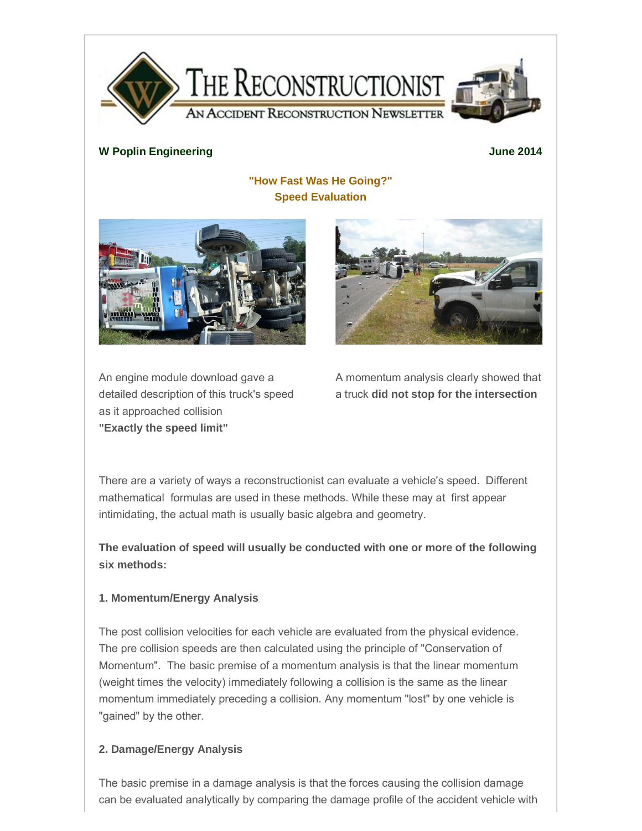

#### **W Poplin Engineering June 2014**

# **"How Fast Was He Going?" Speed Evaluation**





An engine module download gave a detailed description of this truck's speed as it approached collision **"Exactly the speed limit"**

A momentum analysis clearly showed that a truck **did not stop for the intersection**

There are a variety of ways a reconstructionist can evaluate a vehicle's speed. Different mathematical formulas are used in these methods. While these may at first appear intimidating, the actual math is usually basic algebra and geometry.

**The evaluation of speed will usually be conducted with one or more of the following six methods:**

## **1. Momentum/Energy Analysis**

The post collision velocities for each vehicle are evaluated from the physical evidence. The pre collision speeds are then calculated using the principle of "Conservation of Momentum". The basic premise of a momentum analysis is that the linear momentum (weight times the velocity) immediately following a collision is the same as the linear momentum immediately preceding a collision. Any momentum "lost" by one vehicle is "gained" by the other.

## **2. Damage/Energy Analysis**

The basic premise in a damage analysis is that the forces causing the collision damage can be evaluated analytically by comparing the damage profile of the accident vehicle with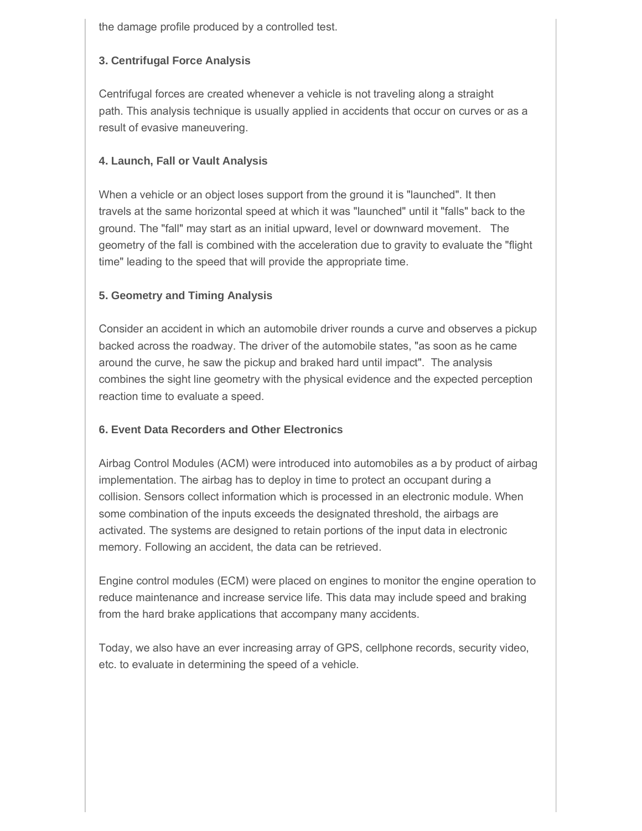the damage profile produced by a controlled test.

## **3. Centrifugal Force Analysis**

Centrifugal forces are created whenever a vehicle is not traveling along a straight path. This analysis technique is usually applied in accidents that occur on curves or as a result of evasive maneuvering.

#### **4. Launch, Fall or Vault Analysis**

When a vehicle or an object loses support from the ground it is "launched". It then travels at the same horizontal speed at which it was "launched" until it "falls" back to the ground. The "fall" may start as an initial upward, level or downward movement. The geometry of the fall is combined with the acceleration due to gravity to evaluate the "flight time" leading to the speed that will provide the appropriate time.

## **5. Geometry and Timing Analysis**

Consider an accident in which an automobile driver rounds a curve and observes a pickup backed across the roadway. The driver of the automobile states, "as soon as he came around the curve, he saw the pickup and braked hard until impact". The analysis combines the sight line geometry with the physical evidence and the expected perception reaction time to evaluate a speed.

## **6. Event Data Recorders and Other Electronics**

Airbag Control Modules (ACM) were introduced into automobiles as a by product of airbag implementation. The airbag has to deploy in time to protect an occupant during a collision. Sensors collect information which is processed in an electronic module. When some combination of the inputs exceeds the designated threshold, the airbags are activated. The systems are designed to retain portions of the input data in electronic memory. Following an accident, the data can be retrieved.

Engine control modules (ECM) were placed on engines to monitor the engine operation to reduce maintenance and increase service life. This data may include speed and braking from the hard brake applications that accompany many accidents.

Today, we also have an ever increasing array of GPS, cellphone records, security video, etc. to evaluate in determining the speed of a vehicle.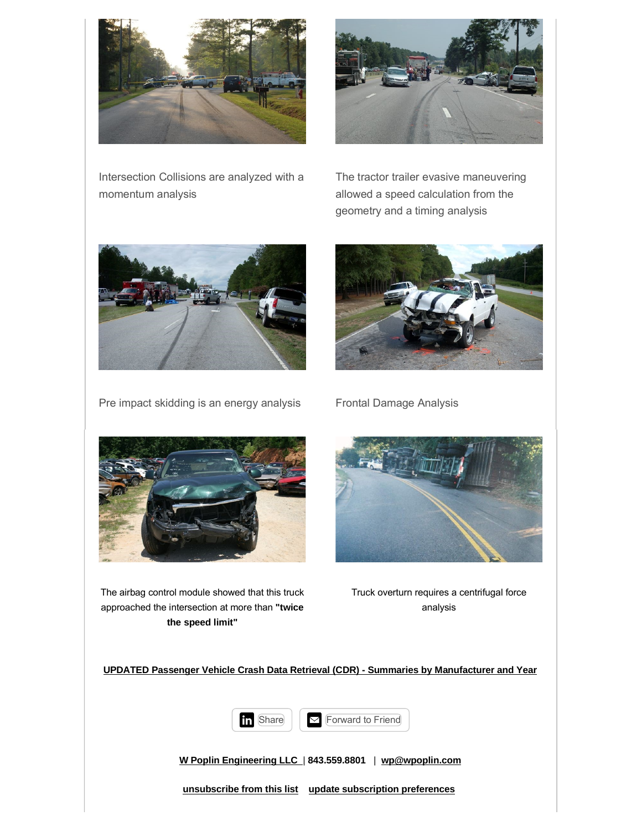



Intersection Collisions are analyzed with a momentum analysis

The tractor trailer evasive maneuvering allowed a speed calculation from the geometry and a timing analysis



Pre impact skidding is an energy analysis Frontal Damage Analysis





The airbag control module showed that this truck approached the intersection at more than **"twice the speed limit"**



Truck overturn requires a centrifugal force analysis

**UPDATED Passenger Vehicle Crash Data Retrieval (CDR) - Summaries by Manufacturer and Year**



**W Poplin Engineering LLC** | **843.559.8801** | **[wp@wpoplin.com](mailto:wp@wpoplin.com)**

**unsubscribe from this list update subscription preferences**